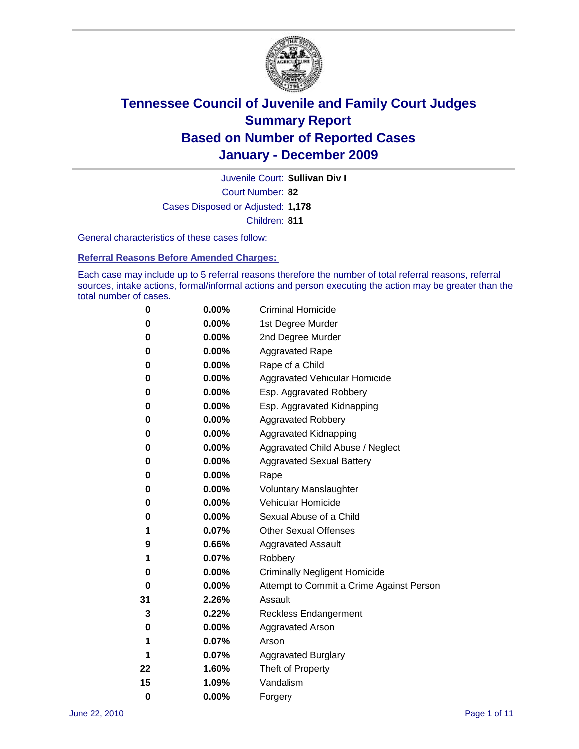

Court Number: **82** Juvenile Court: **Sullivan Div I** Cases Disposed or Adjusted: **1,178** Children: **811**

General characteristics of these cases follow:

**Referral Reasons Before Amended Charges:** 

Each case may include up to 5 referral reasons therefore the number of total referral reasons, referral sources, intake actions, formal/informal actions and person executing the action may be greater than the total number of cases.

| 0  | 0.00%    | <b>Criminal Homicide</b>                 |
|----|----------|------------------------------------------|
| 0  | 0.00%    | 1st Degree Murder                        |
| 0  | 0.00%    | 2nd Degree Murder                        |
| 0  | 0.00%    | <b>Aggravated Rape</b>                   |
| 0  | 0.00%    | Rape of a Child                          |
| 0  | 0.00%    | Aggravated Vehicular Homicide            |
| 0  | 0.00%    | Esp. Aggravated Robbery                  |
| 0  | 0.00%    | Esp. Aggravated Kidnapping               |
| 0  | 0.00%    | <b>Aggravated Robbery</b>                |
| 0  | 0.00%    | Aggravated Kidnapping                    |
| 0  | 0.00%    | Aggravated Child Abuse / Neglect         |
| 0  | 0.00%    | <b>Aggravated Sexual Battery</b>         |
| 0  | 0.00%    | Rape                                     |
| 0  | $0.00\%$ | <b>Voluntary Manslaughter</b>            |
| 0  | 0.00%    | Vehicular Homicide                       |
| 0  | 0.00%    | Sexual Abuse of a Child                  |
| 1  | 0.07%    | <b>Other Sexual Offenses</b>             |
| 9  | 0.66%    | <b>Aggravated Assault</b>                |
| 1  | 0.07%    | Robbery                                  |
| 0  | 0.00%    | <b>Criminally Negligent Homicide</b>     |
| 0  | 0.00%    | Attempt to Commit a Crime Against Person |
| 31 | 2.26%    | Assault                                  |
| 3  | 0.22%    | <b>Reckless Endangerment</b>             |
| 0  | 0.00%    | <b>Aggravated Arson</b>                  |
| 1  | 0.07%    | Arson                                    |
| 1  | 0.07%    | <b>Aggravated Burglary</b>               |
| 22 | 1.60%    | Theft of Property                        |
| 15 | 1.09%    | Vandalism                                |
| 0  | 0.00%    | Forgery                                  |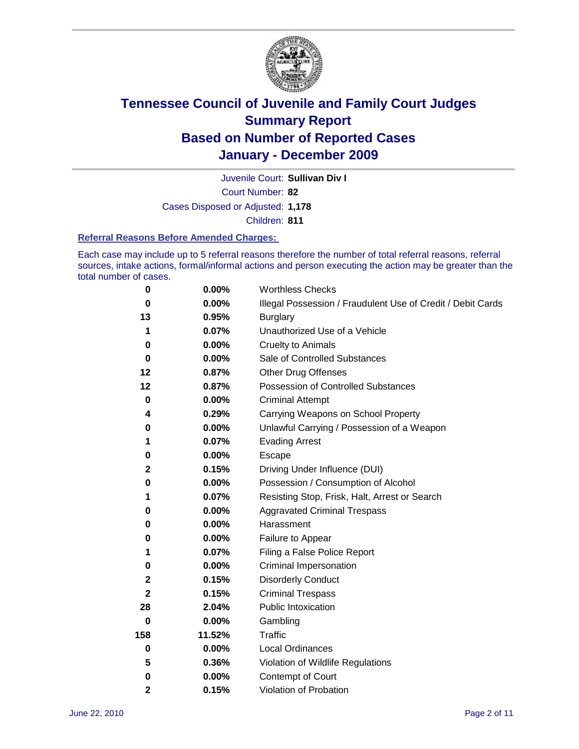

Juvenile Court: **Sullivan Div I**

Court Number: **82**

Cases Disposed or Adjusted: **1,178**

Children: **811**

#### **Referral Reasons Before Amended Charges:**

Each case may include up to 5 referral reasons therefore the number of total referral reasons, referral sources, intake actions, formal/informal actions and person executing the action may be greater than the total number of cases.

| $\pmb{0}$    | 0.00%    | <b>Worthless Checks</b>                                     |
|--------------|----------|-------------------------------------------------------------|
| 0            | 0.00%    | Illegal Possession / Fraudulent Use of Credit / Debit Cards |
| 13           | 0.95%    | <b>Burglary</b>                                             |
| 1            | 0.07%    | Unauthorized Use of a Vehicle                               |
| 0            | $0.00\%$ | <b>Cruelty to Animals</b>                                   |
| $\bf{0}$     | 0.00%    | Sale of Controlled Substances                               |
| 12           | 0.87%    | <b>Other Drug Offenses</b>                                  |
| 12           | 0.87%    | Possession of Controlled Substances                         |
| $\mathbf 0$  | $0.00\%$ | <b>Criminal Attempt</b>                                     |
| 4            | 0.29%    | Carrying Weapons on School Property                         |
| 0            | $0.00\%$ | Unlawful Carrying / Possession of a Weapon                  |
| 1            | 0.07%    | <b>Evading Arrest</b>                                       |
| 0            | 0.00%    | Escape                                                      |
| 2            | 0.15%    | Driving Under Influence (DUI)                               |
| 0            | 0.00%    | Possession / Consumption of Alcohol                         |
| 1            | 0.07%    | Resisting Stop, Frisk, Halt, Arrest or Search               |
| 0            | $0.00\%$ | <b>Aggravated Criminal Trespass</b>                         |
| 0            | $0.00\%$ | Harassment                                                  |
| 0            | 0.00%    | Failure to Appear                                           |
| 1            | 0.07%    | Filing a False Police Report                                |
| 0            | 0.00%    | Criminal Impersonation                                      |
| 2            | 0.15%    | <b>Disorderly Conduct</b>                                   |
| $\mathbf{2}$ | 0.15%    | <b>Criminal Trespass</b>                                    |
| 28           | 2.04%    | Public Intoxication                                         |
| 0            | $0.00\%$ | Gambling                                                    |
| 158          | 11.52%   | <b>Traffic</b>                                              |
| 0            | $0.00\%$ | Local Ordinances                                            |
| 5            | 0.36%    | Violation of Wildlife Regulations                           |
| 0            | $0.00\%$ | Contempt of Court                                           |
| 2            | 0.15%    | Violation of Probation                                      |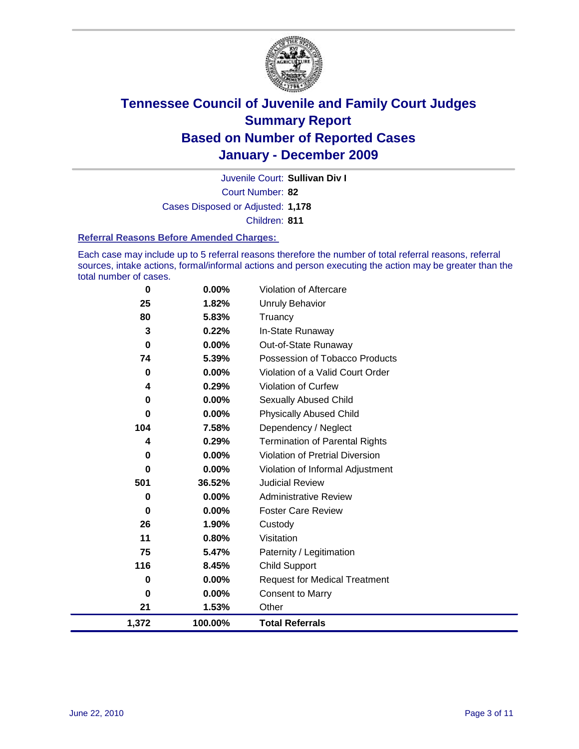

Court Number: **82** Juvenile Court: **Sullivan Div I** Cases Disposed or Adjusted: **1,178** Children: **811**

#### **Referral Reasons Before Amended Charges:**

Each case may include up to 5 referral reasons therefore the number of total referral reasons, referral sources, intake actions, formal/informal actions and person executing the action may be greater than the total number of cases.

| 0           | 0.00%    | Violation of Aftercare                 |
|-------------|----------|----------------------------------------|
| 25          | 1.82%    | <b>Unruly Behavior</b>                 |
| 80          | 5.83%    | Truancy                                |
| 3           | 0.22%    | In-State Runaway                       |
| $\mathbf 0$ | $0.00\%$ | Out-of-State Runaway                   |
| 74          | 5.39%    | Possession of Tobacco Products         |
| 0           | $0.00\%$ | Violation of a Valid Court Order       |
| 4           | 0.29%    | Violation of Curfew                    |
| 0           | $0.00\%$ | Sexually Abused Child                  |
| $\mathbf 0$ | 0.00%    | <b>Physically Abused Child</b>         |
| 104         | 7.58%    | Dependency / Neglect                   |
| 4           | 0.29%    | <b>Termination of Parental Rights</b>  |
| 0           | 0.00%    | <b>Violation of Pretrial Diversion</b> |
| 0           | $0.00\%$ | Violation of Informal Adjustment       |
| 501         | 36.52%   | <b>Judicial Review</b>                 |
| 0           | $0.00\%$ | <b>Administrative Review</b>           |
| 0           | $0.00\%$ | <b>Foster Care Review</b>              |
| 26          | 1.90%    | Custody                                |
| 11          | 0.80%    | Visitation                             |
| 75          | 5.47%    | Paternity / Legitimation               |
| 116         | 8.45%    | <b>Child Support</b>                   |
| 0           | $0.00\%$ | <b>Request for Medical Treatment</b>   |
| 0           | $0.00\%$ | <b>Consent to Marry</b>                |
| 21          | 1.53%    | Other                                  |
| 1,372       | 100.00%  | <b>Total Referrals</b>                 |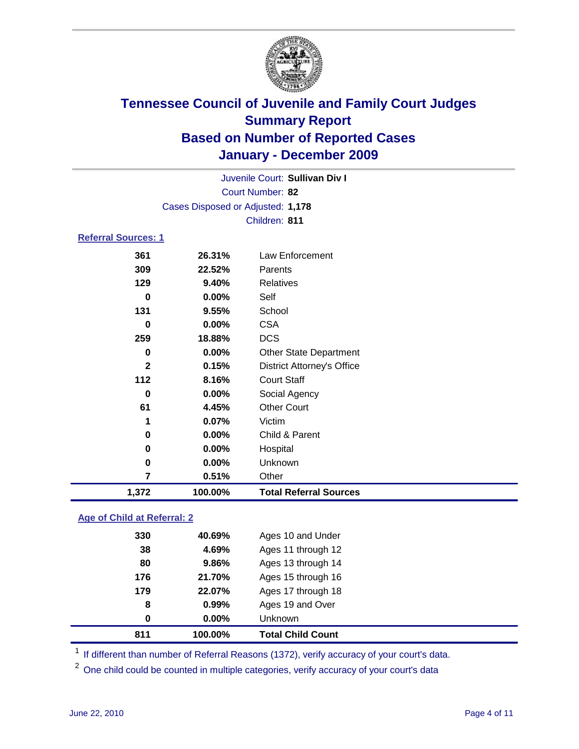

|                     |                                   | Juvenile Court: Sullivan Div I    |  |  |
|---------------------|-----------------------------------|-----------------------------------|--|--|
| Court Number: 82    |                                   |                                   |  |  |
|                     | Cases Disposed or Adjusted: 1,178 |                                   |  |  |
|                     |                                   | Children: 811                     |  |  |
| Referral Sources: 1 |                                   |                                   |  |  |
|                     |                                   |                                   |  |  |
| 361                 | 26.31%                            | <b>Law Enforcement</b>            |  |  |
| 309                 | 22.52%                            | Parents                           |  |  |
| 129                 | 9.40%                             | Relatives                         |  |  |
| 0                   | $0.00\%$                          | Self                              |  |  |
| 131                 | 9.55%                             | School                            |  |  |
| 0                   | $0.00\%$                          | <b>CSA</b>                        |  |  |
| 259                 | 18.88%                            | <b>DCS</b>                        |  |  |
| 0                   | $0.00\%$                          | <b>Other State Department</b>     |  |  |
| $\mathbf{2}$        | 0.15%                             | <b>District Attorney's Office</b> |  |  |
| 112                 | 8.16%                             | <b>Court Staff</b>                |  |  |
| 0                   | $0.00\%$                          | Social Agency                     |  |  |
| 61                  | 4.45%                             | <b>Other Court</b>                |  |  |
| 1                   | 0.07%                             | Victim                            |  |  |
| 0                   | 0.00%                             | Child & Parent                    |  |  |
| 0                   | $0.00\%$                          | Hospital                          |  |  |
| 0                   | $0.00\%$                          | Unknown                           |  |  |
| 7                   | 0.51%                             | Other                             |  |  |

### **Age of Child at Referral: 2**

| 0   | $0.00\%$ | Unknown            |
|-----|----------|--------------------|
|     |          |                    |
| 8   | 0.99%    | Ages 19 and Over   |
| 179 | 22.07%   | Ages 17 through 18 |
| 176 | 21.70%   | Ages 15 through 16 |
| 80  | 9.86%    | Ages 13 through 14 |
| 38  | 4.69%    | Ages 11 through 12 |
| 330 | 40.69%   | Ages 10 and Under  |
|     |          |                    |

<sup>1</sup> If different than number of Referral Reasons (1372), verify accuracy of your court's data.

<sup>2</sup> One child could be counted in multiple categories, verify accuracy of your court's data

**1,372 100.00% Total Referral Sources**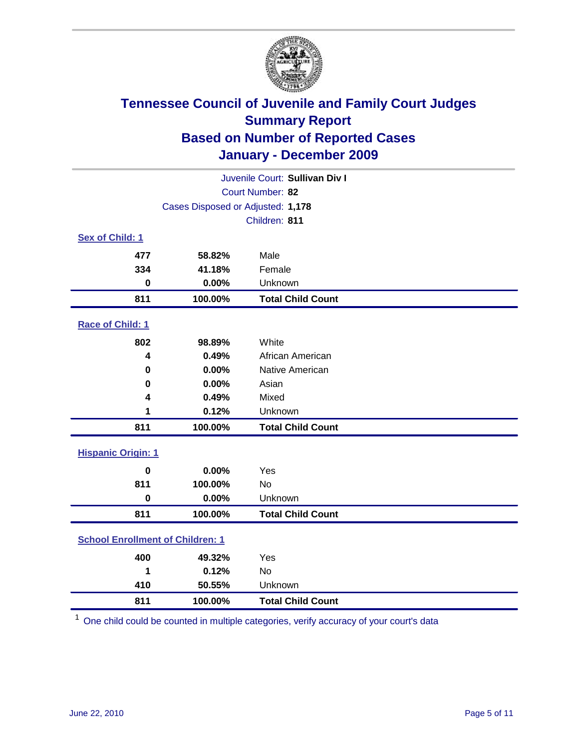

| Juvenile Court: Sullivan Div I          |                                   |                          |  |  |
|-----------------------------------------|-----------------------------------|--------------------------|--|--|
| Court Number: 82                        |                                   |                          |  |  |
|                                         | Cases Disposed or Adjusted: 1,178 |                          |  |  |
|                                         |                                   | Children: 811            |  |  |
| Sex of Child: 1                         |                                   |                          |  |  |
| 477                                     | 58.82%                            | Male                     |  |  |
| 334                                     | 41.18%                            | Female                   |  |  |
| $\bf{0}$                                | 0.00%                             | Unknown                  |  |  |
| 811                                     | 100.00%                           | <b>Total Child Count</b> |  |  |
| Race of Child: 1                        |                                   |                          |  |  |
| 802                                     | 98.89%                            | White                    |  |  |
| 4                                       | 0.49%                             | African American         |  |  |
| 0                                       | 0.00%                             | Native American          |  |  |
| 0                                       | 0.00%                             | Asian                    |  |  |
| 4                                       | 0.49%                             | Mixed                    |  |  |
| 1                                       | 0.12%                             | Unknown                  |  |  |
| 811                                     | 100.00%                           | <b>Total Child Count</b> |  |  |
| <b>Hispanic Origin: 1</b>               |                                   |                          |  |  |
| $\mathbf 0$                             | 0.00%                             | Yes                      |  |  |
| 811                                     | 100.00%                           | <b>No</b>                |  |  |
| $\mathbf 0$                             | 0.00%                             | Unknown                  |  |  |
| 811                                     | 100.00%                           | <b>Total Child Count</b> |  |  |
| <b>School Enrollment of Children: 1</b> |                                   |                          |  |  |
| 400                                     | 49.32%                            | Yes                      |  |  |
| 1                                       | 0.12%                             | No                       |  |  |
| 410                                     | 50.55%                            | Unknown                  |  |  |
| 811                                     | 100.00%                           | <b>Total Child Count</b> |  |  |

One child could be counted in multiple categories, verify accuracy of your court's data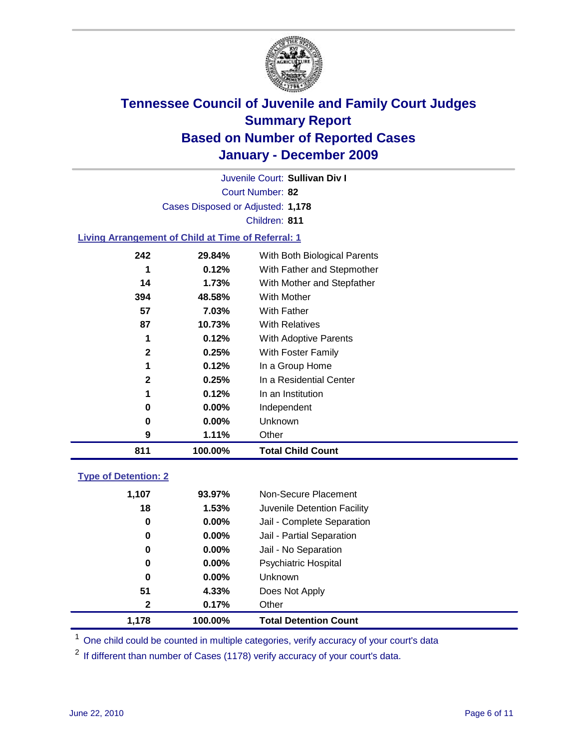

Court Number: **82** Juvenile Court: **Sullivan Div I** Cases Disposed or Adjusted: **1,178** Children: **811**

### **Living Arrangement of Child at Time of Referral: 1**

| 811          | 100.00%  | <b>Total Child Count</b>     |
|--------------|----------|------------------------------|
| 9            | 1.11%    | Other                        |
| 0            | $0.00\%$ | Unknown                      |
| 0            | $0.00\%$ | Independent                  |
| 1            | 0.12%    | In an Institution            |
| $\mathbf{2}$ | 0.25%    | In a Residential Center      |
| 1            | 0.12%    | In a Group Home              |
| $\mathbf{2}$ | 0.25%    | With Foster Family           |
| 1            | 0.12%    | With Adoptive Parents        |
| 87           | 10.73%   | <b>With Relatives</b>        |
| 57           | 7.03%    | With Father                  |
| 394          | 48.58%   | With Mother                  |
| 14           | 1.73%    | With Mother and Stepfather   |
|              | 0.12%    | With Father and Stepmother   |
| 242          | 29.84%   | With Both Biological Parents |
|              |          |                              |

### **Type of Detention: 2**

| 1.178        | 100.00%  | <b>Total Detention Count</b> |
|--------------|----------|------------------------------|
| $\mathbf{2}$ | 0.17%    | Other                        |
| 51           | 4.33%    | Does Not Apply               |
| 0            | $0.00\%$ | <b>Unknown</b>               |
| 0            | $0.00\%$ | Psychiatric Hospital         |
| 0            | 0.00%    | Jail - No Separation         |
| 0            | $0.00\%$ | Jail - Partial Separation    |
| 0            | 0.00%    | Jail - Complete Separation   |
| 18           | 1.53%    | Juvenile Detention Facility  |
| 1,107        | 93.97%   | Non-Secure Placement         |
|              |          |                              |

<sup>1</sup> One child could be counted in multiple categories, verify accuracy of your court's data

<sup>2</sup> If different than number of Cases (1178) verify accuracy of your court's data.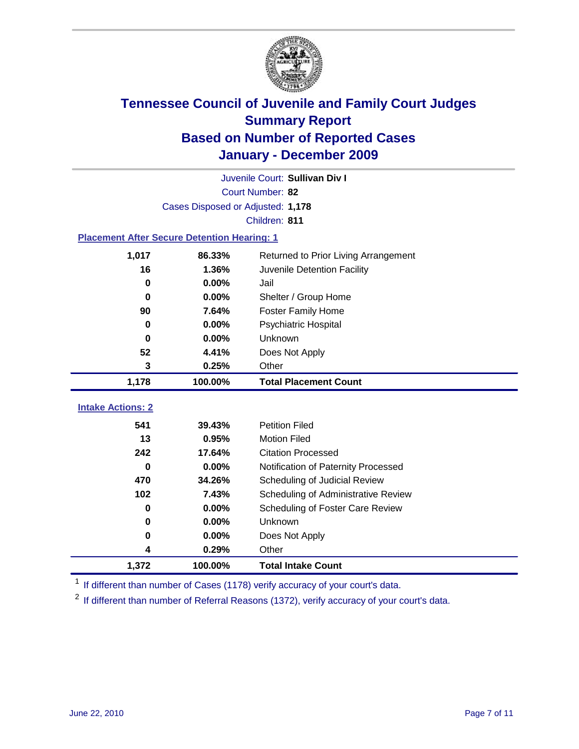

| Juvenile Court: Sullivan Div I                     |                                   |                                      |  |  |  |
|----------------------------------------------------|-----------------------------------|--------------------------------------|--|--|--|
|                                                    | Court Number: 82                  |                                      |  |  |  |
|                                                    | Cases Disposed or Adjusted: 1,178 |                                      |  |  |  |
|                                                    |                                   | Children: 811                        |  |  |  |
| <b>Placement After Secure Detention Hearing: 1</b> |                                   |                                      |  |  |  |
| 1,017                                              | 86.33%                            | Returned to Prior Living Arrangement |  |  |  |
| 16                                                 | 1.36%                             | Juvenile Detention Facility          |  |  |  |
| $\bf{0}$                                           | 0.00%                             | Jail                                 |  |  |  |
| $\bf{0}$                                           | 0.00%                             | Shelter / Group Home                 |  |  |  |
| 90                                                 | 7.64%                             | Foster Family Home                   |  |  |  |
| 0                                                  | 0.00%                             | Psychiatric Hospital                 |  |  |  |
| 0                                                  | 0.00%                             | Unknown                              |  |  |  |
| 52                                                 | 4.41%                             | Does Not Apply                       |  |  |  |
| 3                                                  | 0.25%                             | Other                                |  |  |  |
| 1,178                                              | 100.00%                           | <b>Total Placement Count</b>         |  |  |  |
|                                                    |                                   |                                      |  |  |  |
| <b>Intake Actions: 2</b>                           |                                   |                                      |  |  |  |
| 541                                                | 39.43%                            | <b>Petition Filed</b>                |  |  |  |
| 13                                                 | 0.95%                             | <b>Motion Filed</b>                  |  |  |  |
| 242                                                | 17.64%                            | <b>Citation Processed</b>            |  |  |  |
| 0                                                  | 0.00%                             | Notification of Paternity Processed  |  |  |  |
| 470                                                | 34.26%                            | Scheduling of Judicial Review        |  |  |  |
| 102                                                | 7.43%                             | Scheduling of Administrative Review  |  |  |  |
| 0                                                  | 0.00%                             | Scheduling of Foster Care Review     |  |  |  |
| $\bf{0}$                                           | 0.00%                             | Unknown                              |  |  |  |
| 0                                                  | 0.00%                             | Does Not Apply                       |  |  |  |
| 4                                                  | 0.29%                             | Other                                |  |  |  |
| 1,372                                              | 100.00%                           | <b>Total Intake Count</b>            |  |  |  |

<sup>1</sup> If different than number of Cases (1178) verify accuracy of your court's data.

<sup>2</sup> If different than number of Referral Reasons (1372), verify accuracy of your court's data.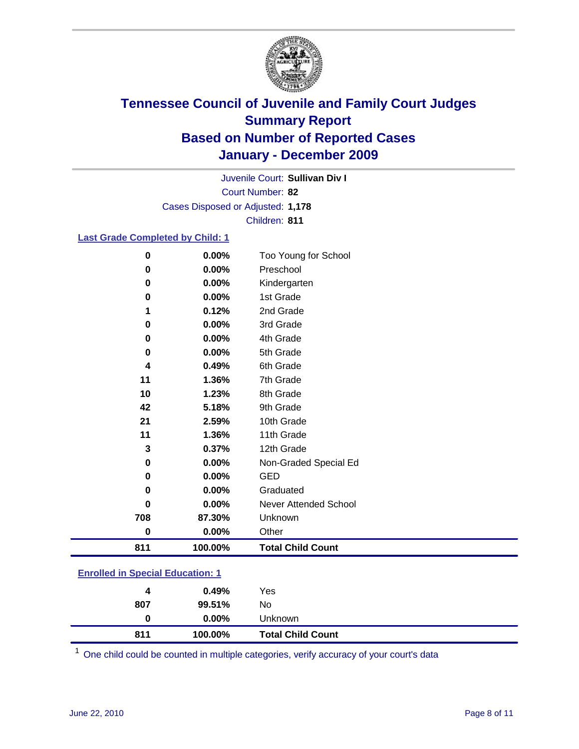

Court Number: **82** Juvenile Court: **Sullivan Div I** Cases Disposed or Adjusted: **1,178** Children: **811**

### **Last Grade Completed by Child: 1**

| 0        | 0.00%   | Too Young for School         |
|----------|---------|------------------------------|
| 0        | 0.00%   | Preschool                    |
| 0        | 0.00%   | Kindergarten                 |
| 0        | 0.00%   | 1st Grade                    |
| 1        | 0.12%   | 2nd Grade                    |
| 0        | 0.00%   | 3rd Grade                    |
| 0        | 0.00%   | 4th Grade                    |
| 0        | 0.00%   | 5th Grade                    |
| 4        | 0.49%   | 6th Grade                    |
| 11       | 1.36%   | 7th Grade                    |
| 10       | 1.23%   | 8th Grade                    |
| 42       | 5.18%   | 9th Grade                    |
| 21       | 2.59%   | 10th Grade                   |
| 11       | 1.36%   | 11th Grade                   |
| 3        | 0.37%   | 12th Grade                   |
| 0        | 0.00%   | Non-Graded Special Ed        |
| 0        | 0.00%   | <b>GED</b>                   |
| 0        | 0.00%   | Graduated                    |
| 0        | 0.00%   | <b>Never Attended School</b> |
| 708      | 87.30%  | Unknown                      |
| $\bf{0}$ | 0.00%   | Other                        |
| 811      | 100.00% | <b>Total Child Count</b>     |

### **Enrolled in Special Education: 1**

| 4   | 0.49%    | Yes                      |
|-----|----------|--------------------------|
| 807 | 99.51%   | No                       |
|     | $0.00\%$ | <b>Unknown</b>           |
| 811 | 100.00%  | <b>Total Child Count</b> |

One child could be counted in multiple categories, verify accuracy of your court's data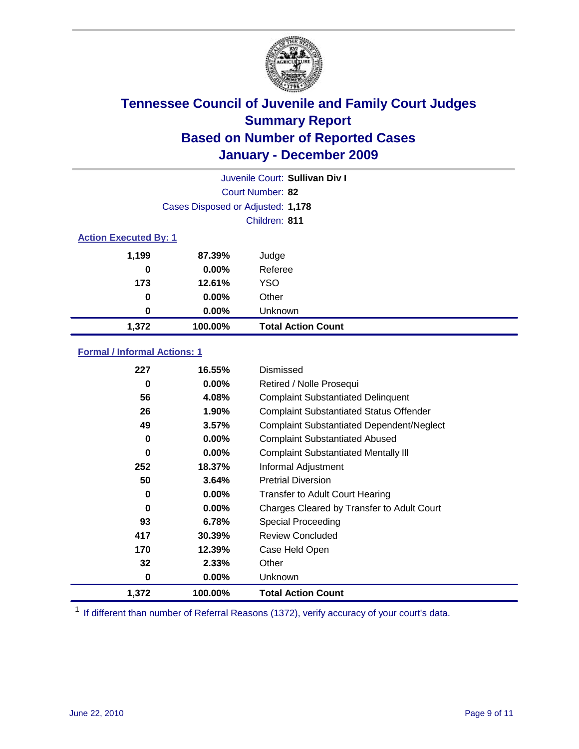

|                  | Juvenile Court: Sullivan Div I    |                           |  |  |  |
|------------------|-----------------------------------|---------------------------|--|--|--|
|                  | Court Number: 82                  |                           |  |  |  |
|                  | Cases Disposed or Adjusted: 1,178 |                           |  |  |  |
|                  | Children: 811                     |                           |  |  |  |
|                  | <b>Action Executed By: 1</b>      |                           |  |  |  |
| 1,199            | 87.39%                            | Judge                     |  |  |  |
| 0                | $0.00\%$                          | Referee                   |  |  |  |
| 173              | 12.61%                            | <b>YSO</b>                |  |  |  |
| 0                | $0.00\%$                          | Other                     |  |  |  |
| $\boldsymbol{0}$ | $0.00\%$                          | Unknown                   |  |  |  |
| 1,372            | 100.00%                           | <b>Total Action Count</b> |  |  |  |

### **Formal / Informal Actions: 1**

| 227   | 16.55%   | Dismissed                                        |
|-------|----------|--------------------------------------------------|
| 0     | $0.00\%$ | Retired / Nolle Prosequi                         |
| 56    | 4.08%    | <b>Complaint Substantiated Delinquent</b>        |
| 26    | 1.90%    | <b>Complaint Substantiated Status Offender</b>   |
| 49    | 3.57%    | <b>Complaint Substantiated Dependent/Neglect</b> |
| 0     | $0.00\%$ | <b>Complaint Substantiated Abused</b>            |
| 0     | $0.00\%$ | <b>Complaint Substantiated Mentally III</b>      |
| 252   | 18.37%   | Informal Adjustment                              |
| 50    | 3.64%    | <b>Pretrial Diversion</b>                        |
| 0     | $0.00\%$ | <b>Transfer to Adult Court Hearing</b>           |
| 0     | $0.00\%$ | Charges Cleared by Transfer to Adult Court       |
| 93    | 6.78%    | Special Proceeding                               |
| 417   | 30.39%   | <b>Review Concluded</b>                          |
| 170   | 12.39%   | Case Held Open                                   |
| 32    | 2.33%    | Other                                            |
| 0     | $0.00\%$ | <b>Unknown</b>                                   |
| 1,372 | 100.00%  | <b>Total Action Count</b>                        |

<sup>1</sup> If different than number of Referral Reasons (1372), verify accuracy of your court's data.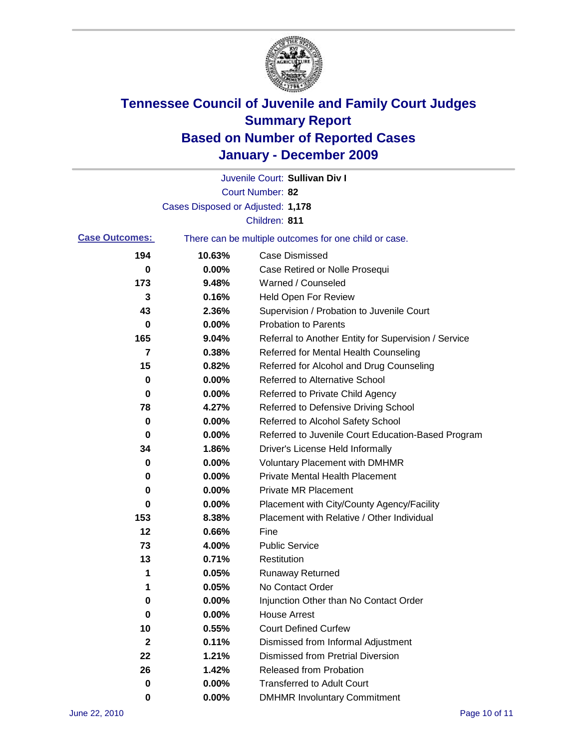

|                       |                                   | Juvenile Court: Sullivan Div I                        |
|-----------------------|-----------------------------------|-------------------------------------------------------|
|                       |                                   | Court Number: 82                                      |
|                       | Cases Disposed or Adjusted: 1,178 |                                                       |
|                       |                                   | Children: 811                                         |
| <b>Case Outcomes:</b> |                                   | There can be multiple outcomes for one child or case. |
| 194                   | 10.63%                            | <b>Case Dismissed</b>                                 |
| 0                     | 0.00%                             | Case Retired or Nolle Prosequi                        |
| 173                   | 9.48%                             | Warned / Counseled                                    |
| 3                     | 0.16%                             | <b>Held Open For Review</b>                           |
| 43                    | 2.36%                             | Supervision / Probation to Juvenile Court             |
| 0                     | 0.00%                             | <b>Probation to Parents</b>                           |
| 165                   | 9.04%                             | Referral to Another Entity for Supervision / Service  |
| 7                     | 0.38%                             | Referred for Mental Health Counseling                 |
| 15                    | 0.82%                             | Referred for Alcohol and Drug Counseling              |
| 0                     | 0.00%                             | <b>Referred to Alternative School</b>                 |
| 0                     | 0.00%                             | Referred to Private Child Agency                      |
| 78                    | 4.27%                             | Referred to Defensive Driving School                  |
| 0                     | 0.00%                             | Referred to Alcohol Safety School                     |
| 0                     | 0.00%                             | Referred to Juvenile Court Education-Based Program    |
| 34                    | 1.86%                             | Driver's License Held Informally                      |
| 0                     | 0.00%                             | <b>Voluntary Placement with DMHMR</b>                 |
| 0                     | 0.00%                             | <b>Private Mental Health Placement</b>                |
| 0                     | 0.00%                             | <b>Private MR Placement</b>                           |
| 0                     | 0.00%                             | Placement with City/County Agency/Facility            |
| 153                   | 8.38%                             | Placement with Relative / Other Individual            |
| 12                    | 0.66%                             | Fine                                                  |
| 73                    | 4.00%                             | <b>Public Service</b>                                 |
| 13                    | 0.71%                             | Restitution                                           |
| 1                     | 0.05%                             | <b>Runaway Returned</b>                               |
| 1                     | 0.05%                             | No Contact Order                                      |
| 0                     | 0.00%                             | Injunction Other than No Contact Order                |
| 0                     | 0.00%                             | <b>House Arrest</b>                                   |
| 10                    | 0.55%                             | <b>Court Defined Curfew</b>                           |
| $\mathbf 2$           | 0.11%                             | Dismissed from Informal Adjustment                    |
| 22                    | 1.21%                             | <b>Dismissed from Pretrial Diversion</b>              |
| 26                    | 1.42%                             | Released from Probation                               |
| 0                     | 0.00%                             | <b>Transferred to Adult Court</b>                     |
| 0                     | $0.00\%$                          | <b>DMHMR Involuntary Commitment</b>                   |